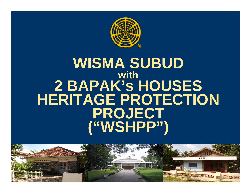

### **WISMA SUBUD with 2 BAPAK's HOUSES HOUSES HERITAGE PROTECTION PROJECT ( ) "WSHPP"**

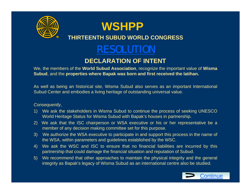

#### **THIRTEENTH SUBUD WORLD CONGRESS**

### RESOLUTION

#### **DECLARATION OF INTENT**

We, the members of the **World Subud Association**, recognize the important value of **Wisma Subud**, and the **properties where Bapak was born and first received the latihan.**

As well as being an historical site, Wisma Subud also serves as an important International Subud Center and embodies <sup>a</sup> living heritage of outstanding universal value.

#### *Consequently*,

- 1) We ask the stakeholders in Wisma Subud to continue the process of seeking UNESCO World Heritage Status for Wisma Subud with Bapak's houses in partnership.
- 2) We ask that the ISC chairperson or WSA executive or his or her representative be <sup>a</sup> member of any decision making committee set for this purpose.
- 3) We authorize the WSA executive to participate in and support this process in the name of the WSA, within parameters and guidelines established by the WSC.
- 4) We ask the WSC and ISC to ensure that no financial liabilities are incurred by this partnership that could damage the financial situation and reputation of Subud.
- 5) We recommend that other approaches to maintain the physical integrity and the general integrity as Bapak's legacy of Wisma Subud as an international centre also be studied.

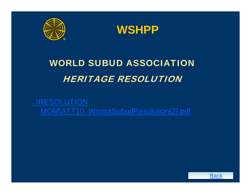



### WORLD SUBUD ASSOCIATION HERITAGE RESOLUTION

..\RESOLUTION MOM\ATT10\_WismaSubudResolution[2].pdf

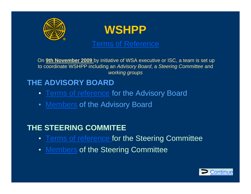

Terms of Reference

On **9th November 2009** by initiative of WSA executive or ISC <sup>a</sup> team is set up ISC, to coordinate WSHPP including an *Advisory Board*, <sup>a</sup>*Steering Committee* and *working groups*

### **THE ADVISORY BOARD**

- Terms of reference for the Advisory Board
- Members of the Advisory Board

### **THE STEERING COMMITEE**

- Terms of reference for the Steering Committee
- Members of the Steering Committee

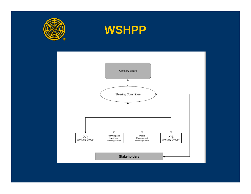



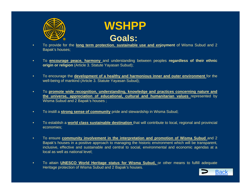



- • To provide for the **long term protection**, **sustainable use and enjoyment** of Wisma Subud and 2 Bapak's houses;
- $\bullet$  To **encourage peace harmony** and understanding between peoples **regardless of their ethnic peace, origin or religion** (Article 3. Statute Yayasan Subud);
- $\bullet$ To encourage the **development of a healthy and harmonious inner and outer environment** for the well-being of mankind (Article 3. Statute Yayasan Subud);
- • To **promote wide recognition, understanding, knowledge and practices concerning nature and the universe, appreciation of educational, cultural and humanitarian values** represented by Wisma Subud and 2 Bapak's houses ;
- $\bullet$ To instill a **strong sense of community** pride and stewardship in Wisma Subud;
- $\bullet$  To establish a **world class sustainable destination** that will contribute to local, regional and provincial economies;
- $\bullet$  To ensure **community involvement in the interpretation and promotion of Wisma Subud** and 2 Bapak's houses in <sup>a</sup> positive approach to managing the historic environment which will be transparent, inclusive, effective and sustainable and central to social, environmental and economic agendas at <sup>a</sup> local as well as national level;
- $\bullet$  To attain **UNESCO World Heritage status for Wisma Subud,** or other means to fulfill adequate Heritage protection of Wisma Subud and 2 Bapak's houses.

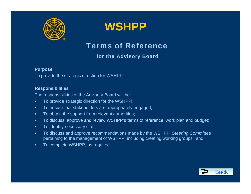



Terms of Reference

#### for the Advisory Board

#### **Purpose**

To provide the strategic direction for WSHPP

#### **Responsibilities**

The responsibilities of the Advisory Board will be:

- •To provide strategic direction for the WSHPPl;
- •To ensure that stakeholders are appropriately engaged;
- •To obtain the support from relevant authorities;
- •To discuss, approve and review WSHPP's terms of reference, work plan and budget;
- •To identify necessary staff;
- •To discuss and approve recommendations made by the WSHPP' Steering Committee pertaining to the management of WSHPP, including creating working groups'; and
- •To complete WSHPP, as required.

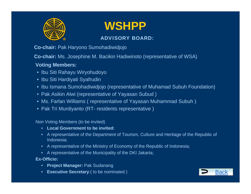

#### ADVISORY BOARD:

**Co-chair:** Pak Haryono Sumohadiwidjojo

**Co-chair:** Ms. Josephine M. Bacikin Hadiwinoto (representative of WSA)

#### **Voting Members:**

- Ibu Siti Rahayu Wiryohudoyo
- Ibu Siti Hardiyati Syafrudin
- Ibu Ismana Sumohadiwidjojo (representative of Muhamad Subuh Foundation)
- Pak Asikin Alwi (representative of Yayasan Subud )
- Ms. Farlan Williams ( representative of Yayasan Muhammad Subuh )
- Pak Tri Murdiyanto (RT- residents representative )

Non Voting Members (to be invited)

- **Local Government to be invited:**
- $\bullet$  A representative of the Department of Tourism, Culture and Heritage of the Republic of Indonesia;
- A representative of the Ministry of Economy of the Republic of Indonesia;
- A representative of the Municipality of the DKI Jakarta;

#### **Ex-Offi i c o:**

- **Project Manager:** Pak Sudanang
- **Executive Secretary**:( to be nominated ) Back **Back**

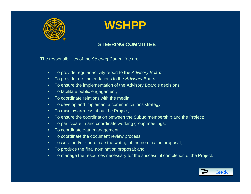

#### **STEERING COMMITTEE**

The responsibilities of the *Steering Committee* are:

- $\bullet$ To provide regular activity report to the *Advisory Board*;
- •To provide recommendations to the *Advisory Board*;
- $\bullet$ To ensure the implementation of the Advisory Board's decisions;
- $\bullet$ To facilitate public engagement;
- $\bullet$ To coordinate relations with the media;
- $\bullet$ To develop and implement a communications strategy;
- $\bullet$ To raise awareness about the Project;
- $\bullet$ To ensure the coordination between the Subud membership and the Project;
- •To participate in and coordinate working group meetings;
- •To coordinate data management;
- $\bullet$ To coordinate the document review process;
- $\bullet$ To write and/or coordinate the writing of the nomination proposal;
- •To produce the final nomination proposal; and,
- $\bullet$ To manage the resources necessary for the successful completion of the Project.

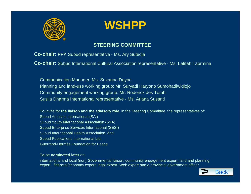

#### **STEERING COMMITTEE**

**Co-chair:** PPK Subud representative - Ms. Ary Sutedja

**Co-chair:** Subud International Cultural Association representative - Ms. Latifah Taormina

Communication Manager: Ms. Suzanna Dayne Planning and land-use working group: Mr. Suryadi Haryono Sumohadiwidjojo Community engagement working group: Mr. Roderick des Tomb Susila Dharma International representative - Ms. Ariana Susanti

**To** invite for **the liaison and the advisory role**, in the Steering Committee, the representatives of: Subud Archives International (SAI) Subud Youth International Association (SYA) Subud Enterprise Services International (SESI) Subud International Health Association, and Subud Publications International Ltd. Guerrand-Hermès Foundation for Peace

#### **To** be **nominated later** on:

international and local (non) Governmental liaison, community engagement expert, land and planning expert, financial/economy expert, legal expert, Web expert and a provincial government officer

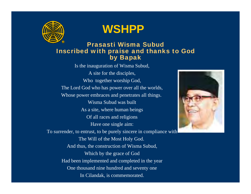

#### Prasasti Wisma Subud Inscribed with praise and thanks to God by Bapak

Is the inauguration of Wisma Subud, A site for the disciples, Who together worship God, The Lord God who has power over all the worlds, Whose power embraces and penetrates all things. Wisma Subud was built As a site, where human beings Of all races and religions Have one single aim: To surrender, to entrust, to be purely sincere in compliance with The Will of the Most Holy God. And thus, the construction of Wisma Subud, Which by the grace of God Had been implemented and completed in the year One thousand nine hundred and seventy one In Cilandak, is commemorated.

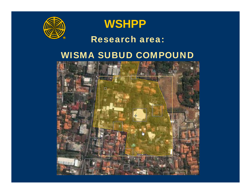



### Research area:

### WISMA SUBUD COMPOUND

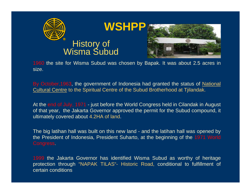

# `` History of<br>Wisma Subud



1960 the site for Wisma Subud was chosen by Bapak. It was about 2.5 acres in size.

By October, 1963, the government of Indonesia had granted the status of National Cultural Centre to the Spiritual Centre of the Subud Brotherhood at Tjilandak.

At the end of July, 1971 - just before the World Congress held in Cilandak in August of that year, the Jakarta Governor approved the permit for the Subud compound, it ultimately covered about 4.2HA of land.

The big latihan hall was built on this new land - and the latihan hall was opened by the President of Indonesia, President Suharto, at the beginning of the 1971 World Congress.

1999 the Jakarta Governor has identified Wisma Subud as worthy of heritage protection through "NAPAK TILAS"- Historic Road, conditional to fulfillment of certain conditions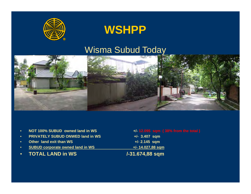

### Wisma Subud Today



- •**NOT 100% SUBUD owned land in WS +/- 12.095 sqm ( 38% from the total )**
- •**PRIVATELY SUBUD ONWED land in WS +/- 3.407 sqm**
- •**Other land exit than WS** +/- 2.145 sqm
- •**SUBUD corporate owned land in WS +/- 14.027,88 sqm**
- •**TOTAL LAND in WS /-31.674,88 sqm**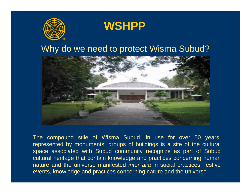



### Why do we need to protect Wisma Subud?



The compound stile of Wisma Subud, in use for over 50 years, represented by monuments, groups of buildings is <sup>a</sup> site of the cultural space associated with Subud community recognize as part of Subud cultural heritage that contain knowledge and practices concerning human nature and the universe manifested *inter alia* in social practices, festive events, knowledge and practices concerning nature and the universe …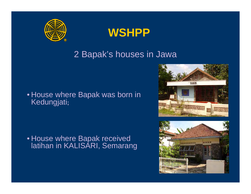



### 2 Bapak's houses in Jawa

### • House where Bapak was born in Kedungjati**;**

• House where Bapak received latihan in KALISARI, Semarang



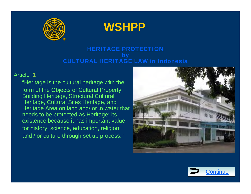



#### HERITAGE PROTECTION by CULTURAL HERITAGE LAW in Indonesia

#### Article 1

"Heritage is the cultural heritage with the form of the Objects of Cultural Property, Building Heritage, Structural Cultural Heritage, Cultural Sites Heritage, and Heritage Area on land and/ or in water that needs to be protected as Heritage; its existence because it has important value for history, science, education, religion, and / or culture through set up process."



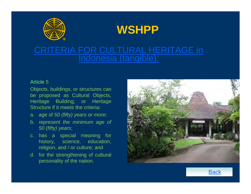



### CRITERIA FOR CULTURAL HERITAGE in Indonesia (tangible):

#### Article 5

Objects, buildings, or structures can be proposed as Cultural Objects, Heritage Building, or Heritage Structure if it meets the criteria:

- a. age of *50 (fifty) years or more*;
- b. *represent the minimum age of 50 (fifty) years*;
- c. has <sup>a</sup> special meaning for history, science, education, religion, and / or culture; and
- d. for the strengthening of cultural personality of the nation.



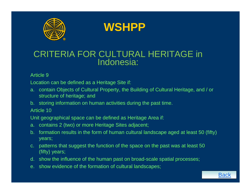

**WSHPP**

### CRITERIA FOR CULTURAL HERITAGE in Indonesia:

#### Article 9

Location can be defined as a Heritage Site if:

- a. contain Objects of Cultural Property, the Building of Cultural Heritage, and / or structure of heritage; and
- b. storing information on human activities during the past time.

Article 10

Unit geographical space can be defined as Heritage Area if:

- a. contains 2 (two) or more Heritage Sites adjacent;
- b. formation results in the form of human cultural landscape aged at least 50 (fifty) years;

Back

- c. patterns that suggest the function of the space on the past was at least 50 (fifty) years;
- d. show the influence of the human past on broad-scale spatial processes;
- e. show evidence of the formation of cultural landscapes;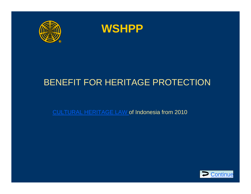



### BENEFIT FOR HERITAGE PROTECTION

CULTURAL HERITAGE LAW of Indonesia from 2010

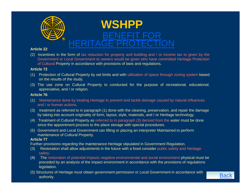

#### **Article 22**

(2) Incentives in the form of tax reduction for property and building and / or income tax to given by the Government or Local Government to owners would be given who have committed Heritage Protection of Cultural Property in accordance with provisions of laws and regulations.

#### **Article 72**

- (1) Protection of Cultural Property by set limits and with utilization of space through zoning system based on the results of the study.
- (3) The use zone on Cultural Property to conducted for the purpose of recreational, educational, appreciative, and / or religion.

#### **Article 76**

- (1) Maintenance done by treating Heritage to prevent and tackle damage caused by natural influences and / or human actions.
- $(3)$  treatment as referred to in paragraph  $(1)$  done with the cleaning, preservation, and repair the damage by taking into account originality of form, layout, style, materials, and / or Heritage technology.
- (4) Treatment of Cultural Property as referred to in paragraph (3) derived from the water must be done since the appointment process to the place storage with special procedures.
- (5) Government and Local Government can lifting or placing an interpreter Maintained to perform maintenance of Cultural Property.

#### **Article 77**

Further provisions regarding the maintenance Heritage stipulated in Government Regulation.

- (3) Restoration shall allow adjustments in the future with a fixed consider public safety and Heritage safety.
- (4) The restoration of potential impacts negative environmental and social environment physical must be preceded by an analysis of the impact environment in accordance with the provisions of regulations legislation.
- (5) Structures of Heritage must obtain government permission or Local Government in accordance with **Back**<br>authority.

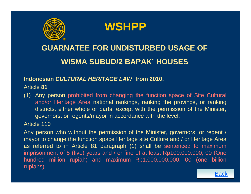

**WSHPP**

### **GUARNATEE FOR UNDISTURBED USAGE OFWISMA SUBUD/2 BAPAK' HOUSES**

#### **Indonesian** *CULTURAL HERITAGE LAW* **from 2010,**

#### Article **81**

(1) Any person prohibited from changing the function space of Site Cultural and/or Heritage Area national rankings, ranking the province, or ranking districts, either whole or parts, except with the permission of the Minister, governors, or regents/mayor in accordance with the level.

#### Article 110

Any person who without the permission of the Minister, governors, or regent / mayor to change the function space Heritage site Culture and / or Heritage Area as referred to in Article 81 paragraph (1) shall be sentenced to maximum imprisonment of 5 (five) years and / or fine of at least Rp100.000.000, 00 (One hundred million rupiah) and maximum Rp1.000.000.000, 00 (one billion rupiahs).

**Back**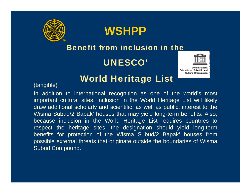



### Benefit from inclusion in the

UNESCO'



**Cultural Organization** 

## World Heritage List (tangible)

In addition to international recognition as one of the world's most important cultural sites, inclusion in the World Heritage List will likely draw additional scholarly and scientific, as well as public, interest to the Wisma Subud/2 Bapak' houses that may yield long-term benefits. Also, because inclusion in the World Heritage List requires countries to respect the heritage sites, the designation should yield long-term benefits for protection of the Wisma Subud/2 Bapak' houses from possible external threats that originate outside the boundaries of Wisma Subud Compound.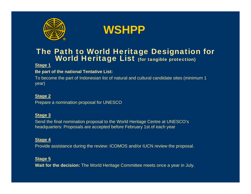



# The Path to World Heritage Designation for World Heritage List (for tangible protection)

#### **Stage 1**

#### **Be part of the national Tentative List:**

To become the part of Indonesian list of natural and cultural candidate sites (minimum 1 year)

#### **Stage 2**

Prepare a nomination proposal for UNESCO

#### **Stage 3**

Send the final nomination proposal to the World Heritage Centre at UNESCO's headquarters: Proposals are accepted before February 1st of each year

#### **Stage 4**

Provide assistance during the review: ICOMOS and/or IUCN review the proposal.

#### **St 5 age**

**Wait for the decision:** The World Heritage Committee meets once a year in July.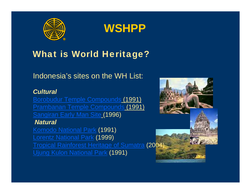



### What is World Heritage?

Indonesia's sites on the WH List:

#### *Cultural*

Borobudur Temple Compounds (1991) Prambanan Temple Compounds (1991) **Sangiran Early Man Site (1996)** *Natural* 

Komodo National Park (1991) Lorentz National Park (1999) **Tropical Rainforest Heritage of Sumatra (200** Ujung Kulon National Park (1991)

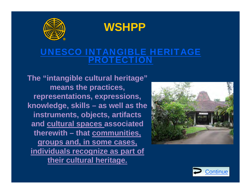

**WSHPP**

### UNESCO INTANGIBLE HERITAGE PROTECTION

**The "intangible cultural heritage" means the practices, representations, expressions, knowledg , e skills – as well as the instruments, objects, artifacts and cultural spaces associated therewith – that communities communities, groups and, in some cases, individuals recognize as part of th i lt l h it their cultural heritage.**



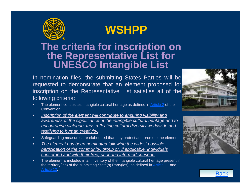

# **The criteria for inscription on<br>the Representative List for<br>UNESCO Intangible List**

In nomination files, the submitting States Parties will be requested to demonstrate that an element proposed for inscription on the Representative List satisfies all of the following criteria:



- •The element constitutes intangible cultural heritage as defined in Article 2 of the Convention.
- • *Inscription of the element will contribute to ensuring visibility and awareness of the significance of the intangible cultural heritage and to encouraging dialogue, thus reflecting cultural diversity worldwide and testifying to human creativity.*
- •Safeguarding measures are elaborated that may protect and promote the element.
- • *The element has been nominated following the widest possible participation of the community, group or, if applicable, individuals concerned and with their free, prior and informed consent.*
- • The element is included in an inventory of the intangible cultural heritage present in the territory(ies) of the submitting State(s) Party(ies), as defined in Article 11 and Article 12.



**Back**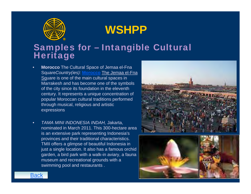

# Samples for – Intangible Cultural Heritage

- • **Morocco** The Cultural Space of Jemaa el-Fna Square*Country(ies):* **Morocco** The Jemaa el-Fna Square is one of the main cultural spaces in Marrakesh and has become one of the symbols of the city since its foundation in the eleventh century. It represents a unique concentration of popular Moroccan cultural traditions performed through musical, religious and artistic expressions
- • *TAMA MINI INDONESIA INDAH,* Jakarta, nominated in March 2011. This 300-hectare area is an extensive park representing Indonesia's provinces and their traditional characteristics. TMII offers a glimpse of beautiful Indonesia in just a single location. It also has a famous orchid garden, a bird park with a walk-in aviary, a fauna museum and recreational grounds with a swimming pool and restaurants .





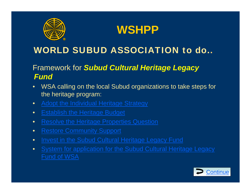



### Framework for *Subud Cultural Heritage Legacy Fund*

- $\bullet$ WSA calling on the local Subud organizations to take steps for the heritage program:
- •Adopt the Individual Heritage Strategy
- $\bullet$ **Establish the Heritage Budget**
- •Resolve the Heritage Properties Question
- $\bullet$ **Restore Community Support**
- $\bullet$ Invest in the Subud Cultural Heritage Legacy Fund
- $\bullet$ System for application for the Subud Cultural Heritage Legacy

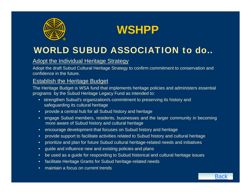



#### Adopt the Individual Heritage Strategy

Adopt the draft Subud Cultural Heritage Strategy to confirm commitment to conservation and confidence in the future.

#### Establish the Heritage Budget

The Heritage Budget is WSA fund that implements heritage policies and administers essential programs by the Subud Heritage Legacy Fund as intended to:

- strengthen Subud's organization/s commitment to preserving its history and safeguarding its cultural heritage
- provide <sup>a</sup> central hub for all Subud history and heritage
- engage Subud members, residents, businesses and the larger community in becoming more aware of Subud history and cultural heritage
- $\bullet$ encourage development that focuses on Subud history and heritage
- •provide support to facilitate activities related to Subud history and cultural heritage
- $\bullet$ prioritize and plan for future Subud cultural heritage-related needs and initiatives
- $\bullet$ guide and influence new and existing policies and plans
- •be used as <sup>a</sup> guide for responding to Subud historical and cultural heritage issues

**Back** 

- •facilitate Heritage Grants for Subud heritage-related needs
- maintain a focus on current trends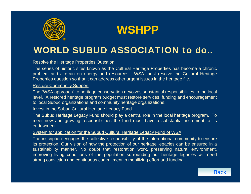



#### Resolve the Heritage Properties Question

The series of historic sites known as the Cultural Heritage Properties has become <sup>a</sup> chronic problem and <sup>a</sup> drain on energy and resources. WSA must resolve the Cultural Heritage Properties question so that it can address other urgent issues in the heritage file.

#### <u>Restore Community Support</u>

The "WSA approach" to heritage conservation devolves substantial responsibilities to the local level. A restored heritage program budget must restore services, funding and encouragement to local Subud organizations and community heritage organizations.

#### Invest in the Subud Cultural Heritage Legacy Fund

The Subud Heritage Legacy Fund should play <sup>a</sup> central role in the local heritage program. To meet new and growing responsibilities the fund must have <sup>a</sup> substantial increment to its endowment.

#### System for application for the Subud Cultural Heritage Legacy Fund of WSA

The inscription engages the collective responsibility of the international community to ensure its protection. Our vision of how the protection of our heritage legacies can be ensured in <sup>a</sup> sustainability manner. No doubt that restoration work, preserving natural environment, improving living conditions of the population surrounding our heritage legacies will need strong conviction and continuous commitment in mobilizing effort and funding.

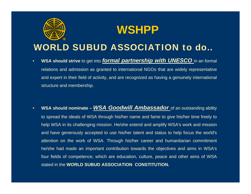



- • **WSA should strive** to get into *formal partnership with UNESCO* in an formal relations and admission as granted to international NGOs that are widely representative and expert in their field of activity, and are recognized as having <sup>a</sup> genuinely international structure and membership.
- • **WSA should nominate –** *WSA Goodwill Ambassador* of an outstanding ability to spread the ideals of WSA through his/her name and fame to give his/her time freely to help WSA in its challenging mission. He/she extend and amplify WSA's work and mission and have generously accepted to use his/her talent and status to help focus the world's attention on the work of WSA. Through his/her career and humanitarian commitment he/she had made an important contribution towards the objectives and aims in WSA's four fields of competence, which are education, culture, peace and other aims of WSA stated in the **WORLD SUBUD ASSOCIATION CONSTITUTION.**